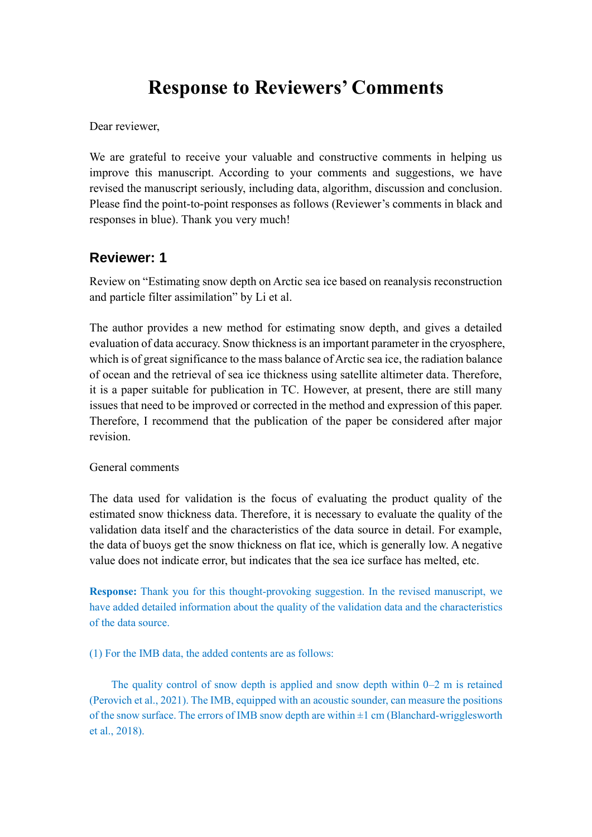# **Response to Reviewers' Comments**

Dear reviewer,

We are grateful to receive your valuable and constructive comments in helping us improve this manuscript. According to your comments and suggestions, we have revised the manuscript seriously, including data, algorithm, discussion and conclusion. Please find the point-to-point responses as follows (Reviewer's comments in black and responses in blue). Thank you very much!

# **Reviewer: 1**

Review on "Estimating snow depth on Arctic sea ice based on reanalysis reconstruction and particle filter assimilation" by Li et al.

The author provides a new method for estimating snow depth, and gives a detailed evaluation of data accuracy. Snow thickness is an important parameter in the cryosphere, which is of great significance to the mass balance of Arctic sea ice, the radiation balance of ocean and the retrieval of sea ice thickness using satellite altimeter data. Therefore, it is a paper suitable for publication in TC. However, at present, there are still many issues that need to be improved or corrected in the method and expression of this paper. Therefore, I recommend that the publication of the paper be considered after major revision.

# General comments

The data used for validation is the focus of evaluating the product quality of the estimated snow thickness data. Therefore, it is necessary to evaluate the quality of the validation data itself and the characteristics of the data source in detail. For example, the data of buoys get the snow thickness on flat ice, which is generally low. A negative value does not indicate error, but indicates that the sea ice surface has melted, etc.

**Response:** Thank you for this thought-provoking suggestion. In the revised manuscript, we have added detailed information about the quality of the validation data and the characteristics of the data source.

(1) For the IMB data, the added contents are as follows:

The quality control of snow depth is applied and snow depth within 0–2 m is retained (Perovich et al., 2021). The IMB, equipped with an acoustic sounder, can measure the positions of the snow surface. The errors of IMB snow depth are within  $\pm 1$  cm (Blanchard-wrigglesworth et al., 2018).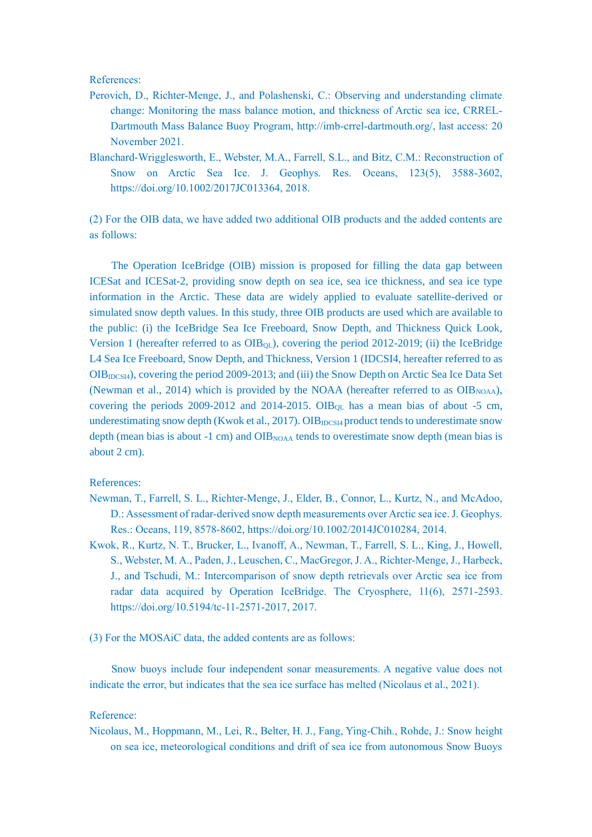References:

- Perovich, D., Richter-Menge, J., and Polashenski, C.: Observing and understanding climate change: Monitoring the mass balance motion, and thickness of Arctic sea ice, CRREL-Dartmouth Mass Balance Buoy Program, http://imb-crrel-dartmouth.org/, last access: 20 November 2021.
- Blanchard-Wrigglesworth, E., Webster, M.A., Farrell, S.L., and Bitz, C.M.: Reconstruction of Snow on Arctic Sea Ice. J. Geophys. Res. Oceans, 123(5), 3588-3602, https://doi.org/10.1002/2017JC013364, 2018.

(2) For the OIB data, we have added two additional OIB products and the added contents are as follows:

The Operation IceBridge (OIB) mission is proposed for filling the data gap between ICESat and ICESat-2, providing snow depth on sea ice, sea ice thickness, and sea ice type information in the Arctic. These data are widely applied to evaluate satellite-derived or simulated snow depth values. In this study, three OIB products are used which are available to the public: (i) the IceBridge Sea Ice Freeboard, Snow Depth, and Thickness Quick Look, Version 1 (hereafter referred to as  $OIB_{OL}$ ), covering the period 2012-2019; (ii) the IceBridge L4 Sea Ice Freeboard, Snow Depth, and Thickness, Version 1 (IDCSI4, hereafter referred to as OIB<sub>IDCSI4</sub>), covering the period 2009-2013; and (iii) the Snow Depth on Arctic Sea Ice Data Set (Newman et al., 2014) which is provided by the NOAA (hereafter referred to as  $OIB<sub>NOAA</sub>$ ), covering the periods 2009-2012 and 2014-2015. OIB<sub>QL</sub> has a mean bias of about -5 cm, underestimating snow depth (Kwok et al., 2017). OIB $_{\text{IDCS14}}$  product tends to underestimate snow depth (mean bias is about -1 cm) and OIB<sub>NOAA</sub> tends to overestimate snow depth (mean bias is about 2 cm).

#### References:

- Newman, T., Farrell, S. L., Richter-Menge, J., Elder, B., Connor, L., Kurtz, N., and McAdoo, D.: Assessment of radar-derived snow depth measurements over Arctic sea ice. J. Geophys. Res.: Oceans, 119, 8578-8602, https://doi.org/10.1002/2014JC010284, 2014.
- Kwok, R., Kurtz, N. T., Brucker, L., Ivanoff, A., Newman, T., Farrell, S. L., King, J., Howell, S., Webster, M. A., Paden, J., Leuschen, C., MacGregor, J. A., Richter-Menge, J., Harbeck, J., and Tschudi, M.: Intercomparison of snow depth retrievals over Arctic sea ice from radar data acquired by Operation IceBridge. The Cryosphere, 11(6), 2571-2593. https://doi.org/10.5194/tc-11-2571-2017, 2017.
- (3) For the MOSAiC data, the added contents are as follows:

Snow buoys include four independent sonar measurements. A negative value does not indicate the error, but indicates that the sea ice surface has melted (Nicolaus et al., 2021).

## Reference:

Nicolaus, M., Hoppmann, M., Lei, R., Belter, H. J., Fang, Ying-Chih., Rohde, J.: Snow height on sea ice, meteorological conditions and drift of sea ice from autonomous Snow Buoys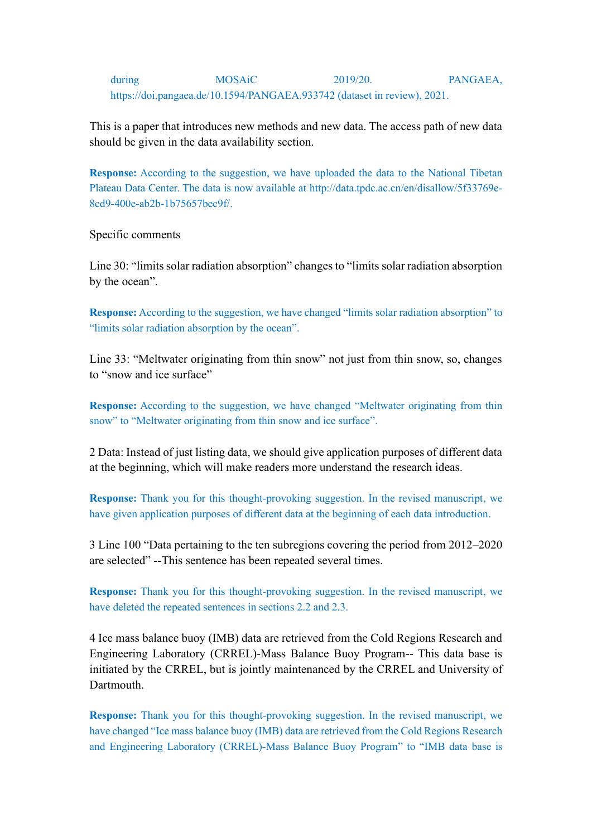# during MOSAiC 2019/20. PANGAEA, https://doi.pangaea.de/10.1594/PANGAEA.933742 (dataset in review), 2021.

This is a paper that introduces new methods and new data. The access path of new data should be given in the data availability section.

**Response:** According to the suggestion, we have uploaded the data to the National Tibetan Plateau Data Center. The data is now available at http://data.tpdc.ac.cn/en/disallow/5f33769e-8cd9-400e-ab2b-1b75657bec9f/.

Specific comments

Line 30: "limits solar radiation absorption" changes to "limits solar radiation absorption by the ocean".

**Response:** According to the suggestion, we have changed "limits solar radiation absorption" to "limits solar radiation absorption by the ocean".

Line 33: "Meltwater originating from thin snow" not just from thin snow, so, changes to "snow and ice surface"

**Response:** According to the suggestion, we have changed "Meltwater originating from thin snow" to "Meltwater originating from thin snow and ice surface".

2 Data: Instead of just listing data, we should give application purposes of different data at the beginning, which will make readers more understand the research ideas.

**Response:** Thank you for this thought-provoking suggestion. In the revised manuscript, we have given application purposes of different data at the beginning of each data introduction.

3 Line 100 "Data pertaining to the ten subregions covering the period from 2012–2020 are selected" --This sentence has been repeated several times.

**Response:** Thank you for this thought-provoking suggestion. In the revised manuscript, we have deleted the repeated sentences in sections 2.2 and 2.3.

4 Ice mass balance buoy (IMB) data are retrieved from the Cold Regions Research and Engineering Laboratory (CRREL)-Mass Balance Buoy Program-- This data base is initiated by the CRREL, but is jointly maintenanced by the CRREL and University of **Dartmouth** 

**Response:** Thank you for this thought-provoking suggestion. In the revised manuscript, we have changed "Ice mass balance buoy (IMB) data are retrieved from the Cold Regions Research and Engineering Laboratory (CRREL)-Mass Balance Buoy Program" to "IMB data base is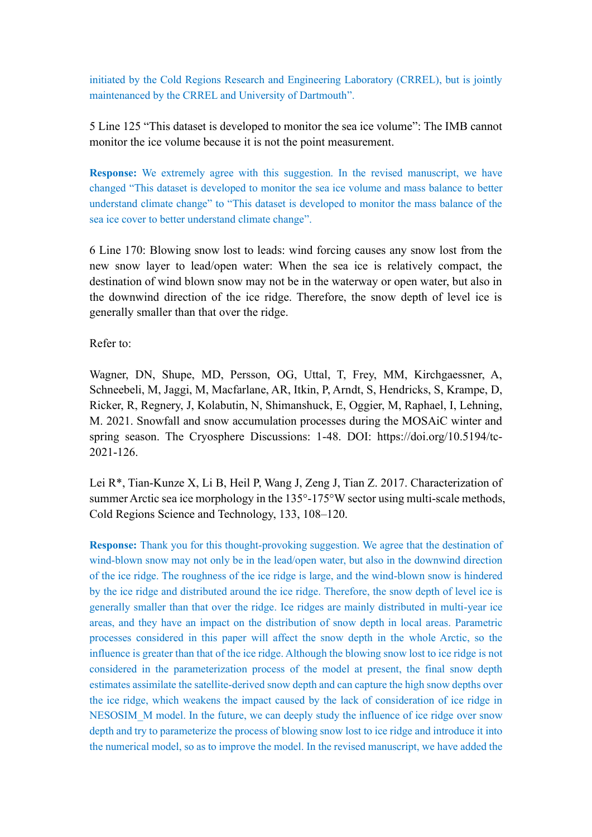initiated by the Cold Regions Research and Engineering Laboratory (CRREL), but is jointly maintenanced by the CRREL and University of Dartmouth".

5 Line 125 "This dataset is developed to monitor the sea ice volume": The IMB cannot monitor the ice volume because it is not the point measurement.

**Response:** We extremely agree with this suggestion. In the revised manuscript, we have changed "This dataset is developed to monitor the sea ice volume and mass balance to better understand climate change" to "This dataset is developed to monitor the mass balance of the sea ice cover to better understand climate change".

6 Line 170: Blowing snow lost to leads: wind forcing causes any snow lost from the new snow layer to lead/open water: When the sea ice is relatively compact, the destination of wind blown snow may not be in the waterway or open water, but also in the downwind direction of the ice ridge. Therefore, the snow depth of level ice is generally smaller than that over the ridge.

Refer to:

Wagner, DN, Shupe, MD, Persson, OG, Uttal, T, Frey, MM, Kirchgaessner, A, Schneebeli, M, Jaggi, M, Macfarlane, AR, Itkin, P, Arndt, S, Hendricks, S, Krampe, D, Ricker, R, Regnery, J, Kolabutin, N, Shimanshuck, E, Oggier, M, Raphael, I, Lehning, M. 2021. Snowfall and snow accumulation processes during the MOSAiC winter and spring season. The Cryosphere Discussions: 1-48. DOI: https://doi.org/10.5194/tc-2021-126.

Lei R\*, Tian-Kunze X, Li B, Heil P, Wang J, Zeng J, Tian Z. 2017. Characterization of summer Arctic sea ice morphology in the 135°-175°W sector using multi-scale methods, Cold Regions Science and Technology, 133, 108–120.

**Response:** Thank you for this thought-provoking suggestion. We agree that the destination of wind-blown snow may not only be in the lead/open water, but also in the downwind direction of the ice ridge. The roughness of the ice ridge is large, and the wind-blown snow is hindered by the ice ridge and distributed around the ice ridge. Therefore, the snow depth of level ice is generally smaller than that over the ridge. Ice ridges are mainly distributed in multi-year ice areas, and they have an impact on the distribution of snow depth in local areas. Parametric processes considered in this paper will affect the snow depth in the whole Arctic, so the influence is greater than that of the ice ridge. Although the blowing snow lost to ice ridge is not considered in the parameterization process of the model at present, the final snow depth estimates assimilate the satellite-derived snow depth and can capture the high snow depths over the ice ridge, which weakens the impact caused by the lack of consideration of ice ridge in NESOSIM M model. In the future, we can deeply study the influence of ice ridge over snow depth and try to parameterize the process of blowing snow lost to ice ridge and introduce it into the numerical model, so as to improve the model. In the revised manuscript, we have added the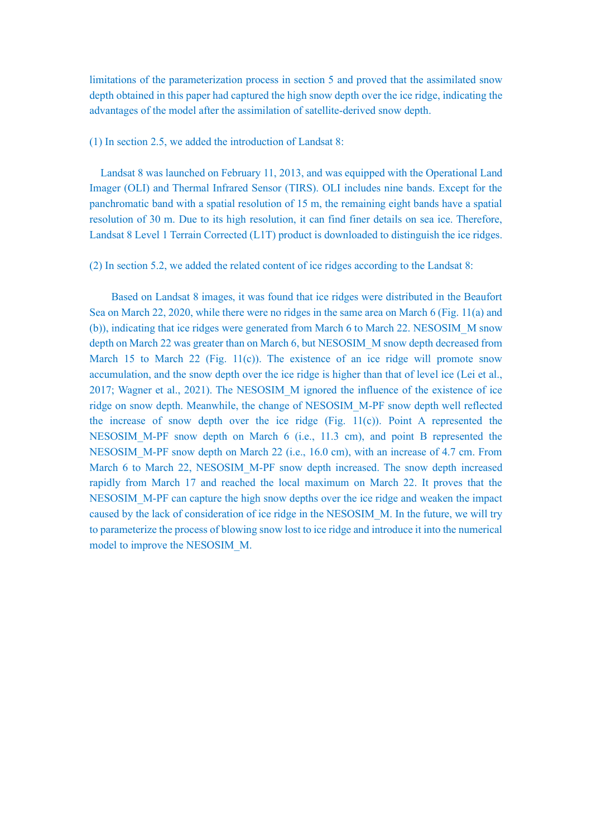limitations of the parameterization process in section 5 and proved that the assimilated snow depth obtained in this paper had captured the high snow depth over the ice ridge, indicating the advantages of the model after the assimilation of satellite-derived snow depth.

#### (1) In section 2.5, we added the introduction of Landsat 8:

Landsat 8 was launched on February 11, 2013, and was equipped with the Operational Land Imager (OLI) and Thermal Infrared Sensor (TIRS). OLI includes nine bands. Except for the panchromatic band with a spatial resolution of 15 m, the remaining eight bands have a spatial resolution of 30 m. Due to its high resolution, it can find finer details on sea ice. Therefore, Landsat 8 Level 1 Terrain Corrected (L1T) product is downloaded to distinguish the ice ridges.

(2) In section 5.2, we added the related content of ice ridges according to the Landsat 8:

Based on Landsat 8 images, it was found that ice ridges were distributed in the Beaufort Sea on March 22, 2020, while there were no ridges in the same area on March 6 (Fig. 11(a) and (b)), indicating that ice ridges were generated from March 6 to March 22. NESOSIM\_M snow depth on March 22 was greater than on March 6, but NESOSIM\_M snow depth decreased from March 15 to March 22 (Fig. 11(c)). The existence of an ice ridge will promote snow accumulation, and the snow depth over the ice ridge is higher than that of level ice (Lei et al., 2017; Wagner et al., 2021). The NESOSIM\_M ignored the influence of the existence of ice ridge on snow depth. Meanwhile, the change of NESOSIM\_M-PF snow depth well reflected the increase of snow depth over the ice ridge (Fig.  $11(c)$ ). Point A represented the NESOSIM M-PF snow depth on March 6 (i.e., 11.3 cm), and point B represented the NESOSIM M-PF snow depth on March 22 (i.e., 16.0 cm), with an increase of 4.7 cm. From March 6 to March 22, NESOSIM\_M-PF snow depth increased. The snow depth increased rapidly from March 17 and reached the local maximum on March 22. It proves that the NESOSIM\_M-PF can capture the high snow depths over the ice ridge and weaken the impact caused by the lack of consideration of ice ridge in the NESOSIM\_M. In the future, we will try to parameterize the process of blowing snow lost to ice ridge and introduce it into the numerical model to improve the NESOSIM\_M.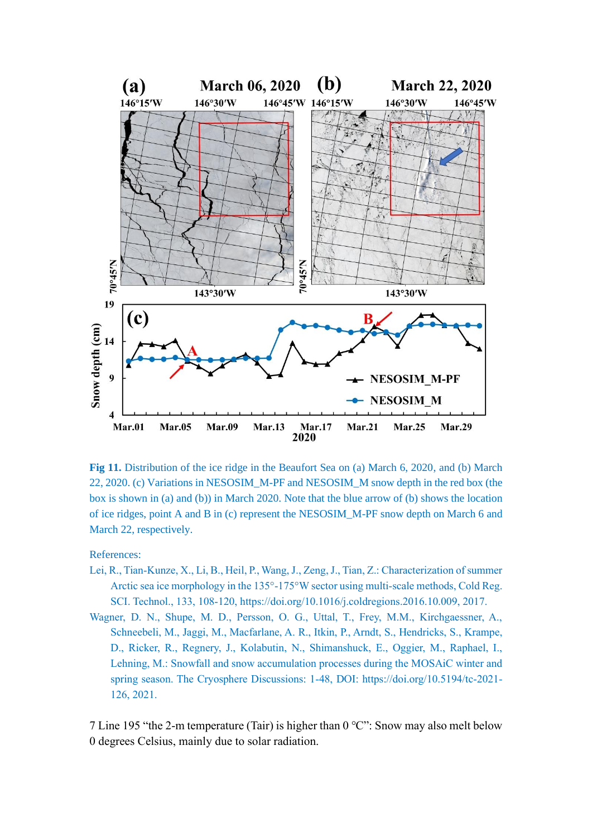

**Fig 11.** Distribution of the ice ridge in the Beaufort Sea on (a) March 6, 2020, and (b) March 22, 2020. (c) Variations in NESOSIM\_M-PF and NESOSIM\_M snow depth in the red box (the box is shown in (a) and (b)) in March 2020. Note that the blue arrow of (b) shows the location of ice ridges, point A and B in (c) represent the NESOSIM\_M-PF snow depth on March 6 and March 22, respectively.

#### References:

- Lei, R., Tian-Kunze, X., Li, B., Heil, P., Wang, J., Zeng, J., Tian, Z.: Characterization of summer Arctic sea ice morphology in the 135°-175°W sector using multi-scale methods, Cold Reg. SCI. Technol., 133, 108-120, https://doi.org/10.1016/j.coldregions.2016.10.009, 2017.
- Wagner, D. N., Shupe, M. D., Persson, O. G., Uttal, T., Frey, M.M., Kirchgaessner, A., Schneebeli, M., Jaggi, M., Macfarlane, A. R., Itkin, P., Arndt, S., Hendricks, S., Krampe, D., Ricker, R., Regnery, J., Kolabutin, N., Shimanshuck, E., Oggier, M., Raphael, I., Lehning, M.: Snowfall and snow accumulation processes during the MOSAiC winter and spring season. The Cryosphere Discussions: 1-48, DOI: https://doi.org/10.5194/tc-2021- 126, 2021.

7 Line 195 "the 2-m temperature (Tair) is higher than 0 ℃": Snow may also melt below 0 degrees Celsius, mainly due to solar radiation.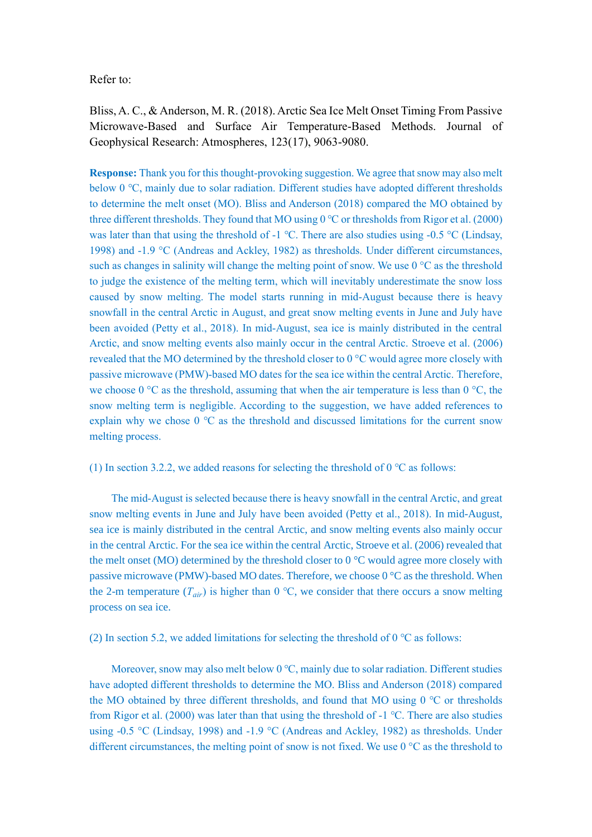Refer to:

Bliss, A. C., & Anderson, M. R. (2018). Arctic Sea Ice Melt Onset Timing From Passive Microwave-Based and Surface Air Temperature-Based Methods. Journal of Geophysical Research: Atmospheres, 123(17), 9063-9080.

**Response:** Thank you for this thought-provoking suggestion. We agree that snow may also melt below 0 ℃, mainly due to solar radiation. Different studies have adopted different thresholds to determine the melt onset (MO). Bliss and Anderson (2018) compared the MO obtained by three different thresholds. They found that MO using 0 ℃ or thresholds from Rigor et al. (2000) was later than that using the threshold of -1 ℃. There are also studies using -0.5 °C (Lindsay, 1998) and -1.9 °C (Andreas and Ackley, 1982) as thresholds. Under different circumstances, such as changes in salinity will change the melting point of snow. We use 0 °C as the threshold to judge the existence of the melting term, which will inevitably underestimate the snow loss caused by snow melting. The model starts running in mid-August because there is heavy snowfall in the central Arctic in August, and great snow melting events in June and July have been avoided (Petty et al., 2018). In mid-August, sea ice is mainly distributed in the central Arctic, and snow melting events also mainly occur in the central Arctic. Stroeve et al. (2006) revealed that the MO determined by the threshold closer to 0 °C would agree more closely with passive microwave (PMW)-based MO dates for the sea ice within the central Arctic. Therefore, we choose  $0^{\circ}$ C as the threshold, assuming that when the air temperature is less than  $0^{\circ}$ C, the snow melting term is negligible. According to the suggestion, we have added references to explain why we chose 0 ℃ as the threshold and discussed limitations for the current snow melting process.

(1) In section 3.2.2, we added reasons for selecting the threshold of 0 ℃ as follows:

The mid-August is selected because there is heavy snowfall in the central Arctic, and great snow melting events in June and July have been avoided (Petty et al., 2018). In mid-August, sea ice is mainly distributed in the central Arctic, and snow melting events also mainly occur in the central Arctic. For the sea ice within the central Arctic, Stroeve et al. (2006) revealed that the melt onset (MO) determined by the threshold closer to  $0^{\circ}$ C would agree more closely with passive microwave (PMW)-based MO dates. Therefore, we choose 0 °C as the threshold. When the 2-m temperature  $(T_{air})$  is higher than 0 °C, we consider that there occurs a snow melting process on sea ice.

(2) In section 5.2, we added limitations for selecting the threshold of  $0^{\circ}$ C as follows:

Moreover, snow may also melt below 0 ℃, mainly due to solar radiation. Different studies have adopted different thresholds to determine the MO. Bliss and Anderson (2018) compared the MO obtained by three different thresholds, and found that MO using  $0^{\circ}$ C or thresholds from Rigor et al. (2000) was later than that using the threshold of -1 ℃. There are also studies using -0.5 °C (Lindsay, 1998) and -1.9 °C (Andreas and Ackley, 1982) as thresholds. Under different circumstances, the melting point of snow is not fixed. We use 0 °C as the threshold to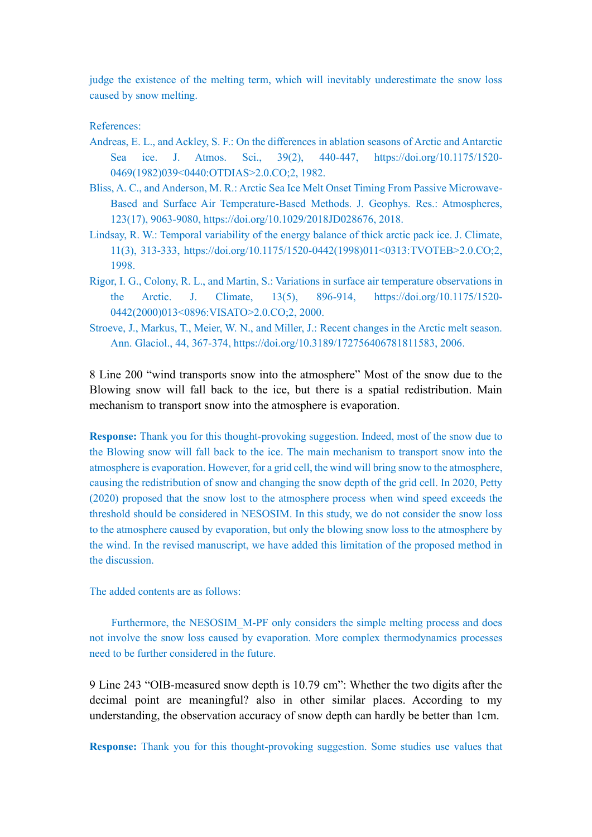judge the existence of the melting term, which will inevitably underestimate the snow loss caused by snow melting.

References:

- Andreas, E. L., and Ackley, S. F.: On the differences in ablation seasons of Arctic and Antarctic Sea ice. J. Atmos. Sci., 39(2), 440-447, https://doi.org/10.1175/1520- 0469(1982)039<0440:OTDIAS>2.0.CO;2, 1982.
- Bliss, A. C., and Anderson, M. R.: Arctic Sea Ice Melt Onset Timing From Passive Microwave-Based and Surface Air Temperature-Based Methods. J. Geophys. Res.: Atmospheres, 123(17), 9063-9080, https://doi.org/10.1029/2018JD028676, 2018.
- Lindsay, R. W.: Temporal variability of the energy balance of thick arctic pack ice. J. Climate, 11(3), 313-333, https://doi.org/10.1175/1520-0442(1998)011<0313:TVOTEB>2.0.CO;2, 1998.
- Rigor, I. G., Colony, R. L., and Martin, S.: Variations in surface air temperature observations in the Arctic. J. Climate, 13(5), 896-914, https://doi.org/10.1175/1520- 0442(2000)013<0896:VISATO>2.0.CO;2, 2000.
- Stroeve, J., Markus, T., Meier, W. N., and Miller, J.: Recent changes in the Arctic melt season. Ann. Glaciol., 44, 367-374, https://doi.org/10.3189/172756406781811583, 2006.

8 Line 200 "wind transports snow into the atmosphere" Most of the snow due to the Blowing snow will fall back to the ice, but there is a spatial redistribution. Main mechanism to transport snow into the atmosphere is evaporation.

**Response:** Thank you for this thought-provoking suggestion. Indeed, most of the snow due to the Blowing snow will fall back to the ice. The main mechanism to transport snow into the atmosphere is evaporation. However, for a grid cell, the wind will bring snow to the atmosphere, causing the redistribution of snow and changing the snow depth of the grid cell. In 2020, Petty (2020) proposed that the snow lost to the atmosphere process when wind speed exceeds the threshold should be considered in NESOSIM. In this study, we do not consider the snow loss to the atmosphere caused by evaporation, but only the blowing snow loss to the atmosphere by the wind. In the revised manuscript, we have added this limitation of the proposed method in the discussion.

The added contents are as follows:

Furthermore, the NESOSIM\_M-PF only considers the simple melting process and does not involve the snow loss caused by evaporation. More complex thermodynamics processes need to be further considered in the future.

9 Line 243 "OIB-measured snow depth is 10.79 cm": Whether the two digits after the decimal point are meaningful? also in other similar places. According to my understanding, the observation accuracy of snow depth can hardly be better than 1cm.

**Response:** Thank you for this thought-provoking suggestion. Some studies use values that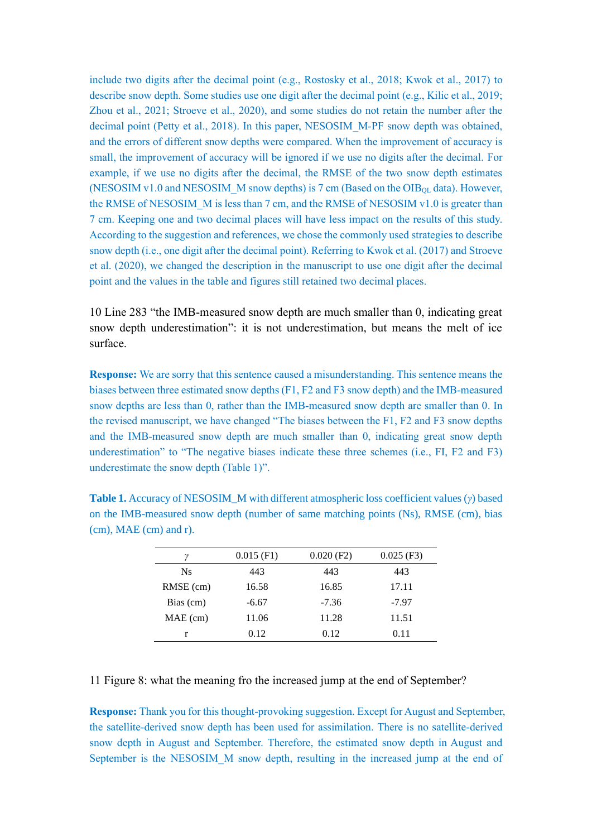include two digits after the decimal point (e.g., Rostosky et al., 2018; Kwok et al., 2017) to describe snow depth. Some studies use one digit after the decimal point (e.g., Kilic et al., 2019; Zhou et al., 2021; Stroeve et al., 2020), and some studies do not retain the number after the decimal point (Petty et al., 2018). In this paper, NESOSIM M-PF snow depth was obtained, and the errors of different snow depths were compared. When the improvement of accuracy is small, the improvement of accuracy will be ignored if we use no digits after the decimal. For example, if we use no digits after the decimal, the RMSE of the two snow depth estimates (NESOSIM v1.0 and NESOSIM M snow depths) is 7 cm (Based on the OIB<sub>QL</sub> data). However, the RMSE of NESOSIM  $\,$  M is less than 7 cm, and the RMSE of NESOSIM v1.0 is greater than 7 cm. Keeping one and two decimal places will have less impact on the results of this study. According to the suggestion and references, we chose the commonly used strategies to describe snow depth (i.e., one digit after the decimal point). Referring to Kwok et al. (2017) and Stroeve et al. (2020), we changed the description in the manuscript to use one digit after the decimal point and the values in the table and figures still retained two decimal places.

10 Line 283 "the IMB-measured snow depth are much smaller than 0, indicating great snow depth underestimation": it is not underestimation, but means the melt of ice surface.

**Response:** We are sorry that this sentence caused a misunderstanding. This sentence means the biases between three estimated snow depths (F1, F2 and F3 snow depth) and the IMB-measured snow depths are less than 0, rather than the IMB-measured snow depth are smaller than 0. In the revised manuscript, we have changed "The biases between the F1, F2 and F3 snow depths and the IMB-measured snow depth are much smaller than 0, indicating great snow depth underestimation" to "The negative biases indicate these three schemes (i.e., FI, F2 and F3) underestimate the snow depth (Table 1)".

| ν           | $0.015$ (F1) | $0.020$ (F2) | $0.025$ (F3) |
|-------------|--------------|--------------|--------------|
| <b>Ns</b>   | 443          | 443          | 443          |
| $RMSE$ (cm) | 16.58        | 16.85        | 17.11        |
| Bias (cm)   | $-6.67$      | $-7.36$      | $-7.97$      |
| $MAE$ (cm)  | 11.06        | 11.28        | 11.51        |
|             | 0.12         | 0.12         | 0.11         |

**Table 1.** Accuracy of NESOSIM\_M with different atmospheric loss coefficient values (*γ*) based on the IMB-measured snow depth (number of same matching points (Ns), RMSE (cm), bias (cm), MAE (cm) and r).

11 Figure 8: what the meaning fro the increased jump at the end of September?

**Response:** Thank you for this thought-provoking suggestion. Except for August and September, the satellite-derived snow depth has been used for assimilation. There is no satellite-derived snow depth in August and September. Therefore, the estimated snow depth in August and September is the NESOSIM\_M snow depth, resulting in the increased jump at the end of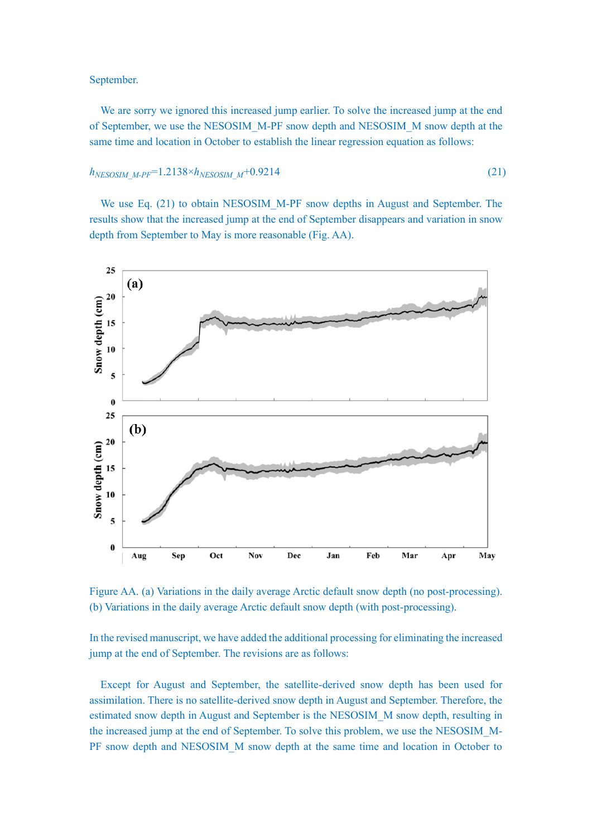## September.

We are sorry we ignored this increased jump earlier. To solve the increased jump at the end of September, we use the NESOSIM\_M-PF snow depth and NESOSIM\_M snow depth at the same time and location in October to establish the linear regression equation as follows:

## $h_{NESOSIM~M-PF}$ =1.2138× $h_{NESOSIM~M}$ +0.9214 (21)

We use Eq. (21) to obtain NESOSIM M-PF snow depths in August and September. The results show that the increased jump at the end of September disappears and variation in snow depth from September to May is more reasonable (Fig. AA).



Figure AA. (a) Variations in the daily average Arctic default snow depth (no post-processing). (b) Variations in the daily average Arctic default snow depth (with post-processing).

In the revised manuscript, we have added the additional processing for eliminating the increased jump at the end of September. The revisions are as follows:

Except for August and September, the satellite-derived snow depth has been used for assimilation. There is no satellite-derived snow depth in August and September. Therefore, the estimated snow depth in August and September is the NESOSIM\_M snow depth, resulting in the increased jump at the end of September. To solve this problem, we use the NESOSIM\_M-PF snow depth and NESOSIM\_M snow depth at the same time and location in October to